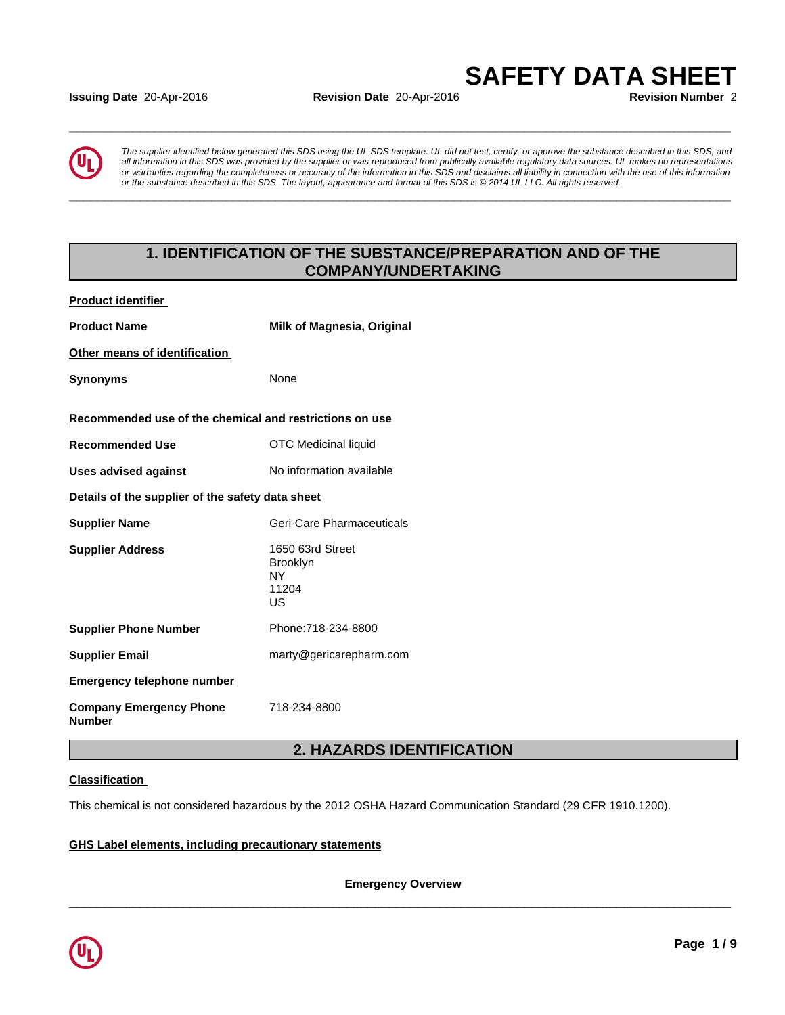#### **Issuing Date** 20-Apr-2016 **Revision Date** 20-Apr-2016 **Revision Number** 2

*The supplier identified below generated this SDS using the UL SDS template. UL did not test, certify, or approve the substance described in this SDS, and all information in this SDS was provided by the supplier or was reproduced from publically available regulatory data sources. UL makes no representations or warranties regarding the completeness or accuracy of the information in this SDS and disclaims all liability in connection with the use of this information* ate 20-Apr-2016<br> **Revision Date 20-Apr-2016**<br> **SAFETY DATA SHEET**<br>
Revision Number 2<br>
The supplier identified below generated this SDS using the UL SDS template. UL did not test, certify, or approve the substance describe

**\_\_\_\_\_\_\_\_\_\_\_\_\_\_\_\_\_\_\_\_\_\_\_\_\_\_\_\_\_\_\_\_\_\_\_\_\_\_\_\_\_\_\_\_\_\_\_\_\_\_\_\_\_\_\_\_\_\_\_\_\_\_\_\_\_\_\_\_\_\_\_\_\_\_\_\_\_\_\_\_\_\_\_\_\_\_\_\_\_\_\_\_\_**

**\_\_\_\_\_\_\_\_\_\_\_\_\_\_\_\_\_\_\_\_\_\_\_\_\_\_\_\_\_\_\_\_\_\_\_\_\_\_\_\_\_\_\_\_\_\_\_\_\_\_\_\_\_\_\_\_\_\_\_\_\_\_\_\_\_\_\_\_\_\_\_\_\_\_\_\_\_\_\_\_\_\_\_\_\_\_\_\_\_\_\_\_\_**

## **1. IDENTIFICATION OF THE SUBSTANCE/PREPARATION AND OF THE COMPANY/UNDERTAKING**

| <b>Product identifier</b>                               |                                                           |
|---------------------------------------------------------|-----------------------------------------------------------|
| <b>Product Name</b>                                     | <b>Milk of Magnesia, Original</b>                         |
| Other means of identification                           |                                                           |
| <b>Synonyms</b>                                         | None                                                      |
| Recommended use of the chemical and restrictions on use |                                                           |
| <b>Recommended Use</b>                                  | <b>OTC Medicinal liquid</b>                               |
| <b>Uses advised against</b>                             | No information available                                  |
| Details of the supplier of the safety data sheet        |                                                           |
| <b>Supplier Name</b>                                    | Geri-Care Pharmaceuticals                                 |
| <b>Supplier Address</b>                                 | 1650 63rd Street<br><b>Brooklyn</b><br>NY.<br>11204<br>US |
| <b>Supplier Phone Number</b>                            | Phone: 718-234-8800                                       |
| <b>Supplier Email</b>                                   | marty@gericarepharm.com                                   |
| <b>Emergency telephone number</b>                       |                                                           |
| <b>Company Emergency Phone</b><br><b>Number</b>         | 718-234-8800                                              |

## **2. HAZARDS IDENTIFICATION**

#### **Classification**

This chemical is not considered hazardous by the 2012 OSHA Hazard Communication Standard (29 CFR 1910.1200).

#### **GHS Label elements, including precautionary statements**

**Emergency Overview**

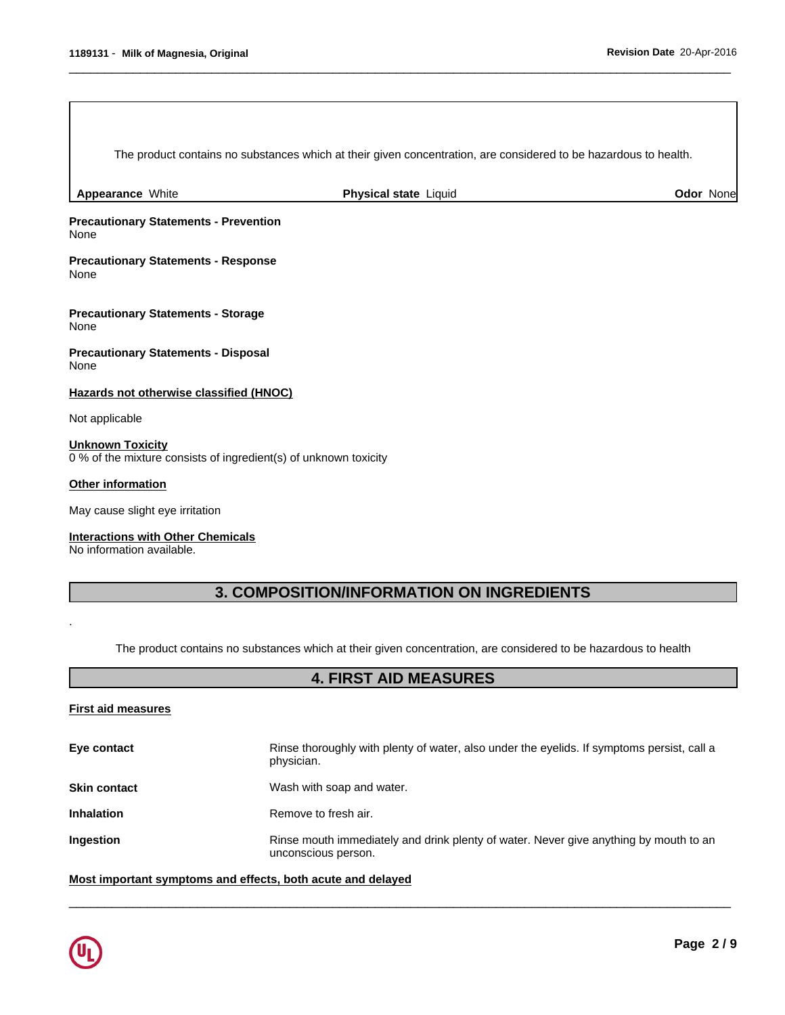The product contains no substances which at their given concentration, are considered to be hazardous to health.

 $\overline{\phantom{a}}$  ,  $\overline{\phantom{a}}$  ,  $\overline{\phantom{a}}$  ,  $\overline{\phantom{a}}$  ,  $\overline{\phantom{a}}$  ,  $\overline{\phantom{a}}$  ,  $\overline{\phantom{a}}$  ,  $\overline{\phantom{a}}$  ,  $\overline{\phantom{a}}$  ,  $\overline{\phantom{a}}$  ,  $\overline{\phantom{a}}$  ,  $\overline{\phantom{a}}$  ,  $\overline{\phantom{a}}$  ,  $\overline{\phantom{a}}$  ,  $\overline{\phantom{a}}$  ,  $\overline{\phantom{a}}$ 

**Appearance** White **Physical state** Liquid **Odor** None

**Precautionary Statements - Prevention** None

**Precautionary Statements - Response** None

**Precautionary Statements - Storage** None

**Precautionary Statements - Disposal** None

#### **Hazards not otherwise classified (HNOC)**

Not applicable

#### **Unknown Toxicity**

0 % of the mixture consists of ingredient(s) of unknown toxicity

#### **Other information**

May cause slight eye irritation

#### **Interactions with Other Chemicals**

No information available.

## **3. COMPOSITION/INFORMATION ON INGREDIENTS**

The product contains no substances which at their given concentration, are considered to be hazardous to health

## **4. FIRST AID MEASURES**

#### **First aid measures**

.

| Eye contact         | Rinse thoroughly with plenty of water, also under the eyelids. If symptoms persist, call a<br>physician.     |
|---------------------|--------------------------------------------------------------------------------------------------------------|
| <b>Skin contact</b> | Wash with soap and water.                                                                                    |
| <b>Inhalation</b>   | Remove to fresh air.                                                                                         |
| <b>Ingestion</b>    | Rinse mouth immediately and drink plenty of water. Never give anything by mouth to an<br>unconscious person. |

 $\overline{\phantom{a}}$  ,  $\overline{\phantom{a}}$  ,  $\overline{\phantom{a}}$  ,  $\overline{\phantom{a}}$  ,  $\overline{\phantom{a}}$  ,  $\overline{\phantom{a}}$  ,  $\overline{\phantom{a}}$  ,  $\overline{\phantom{a}}$  ,  $\overline{\phantom{a}}$  ,  $\overline{\phantom{a}}$  ,  $\overline{\phantom{a}}$  ,  $\overline{\phantom{a}}$  ,  $\overline{\phantom{a}}$  ,  $\overline{\phantom{a}}$  ,  $\overline{\phantom{a}}$  ,  $\overline{\phantom{a}}$ 

**Most important symptoms and effects, both acute and delayed**

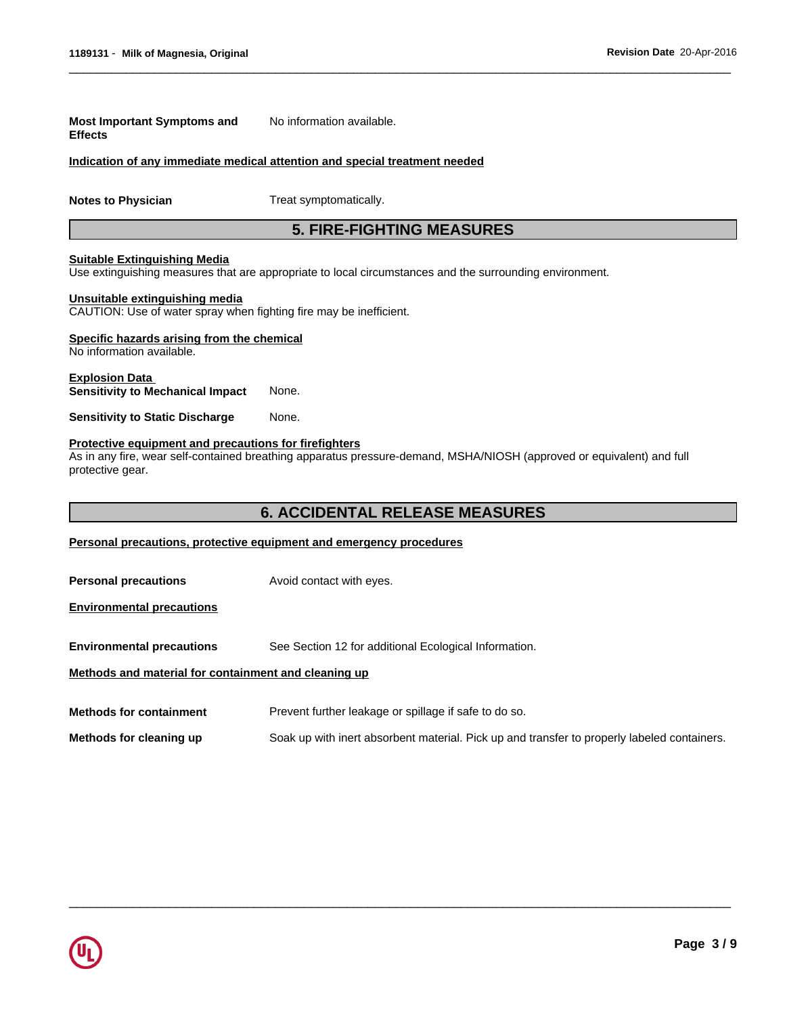| <b>Most Important Symptoms and</b><br><b>Effects</b>                                                 | No information available.                                                                                             |
|------------------------------------------------------------------------------------------------------|-----------------------------------------------------------------------------------------------------------------------|
|                                                                                                      | Indication of any immediate medical attention and special treatment needed                                            |
| <b>Notes to Physician</b>                                                                            | Treat symptomatically.                                                                                                |
|                                                                                                      | <b>5. FIRE-FIGHTING MEASURES</b>                                                                                      |
| <b>Suitable Extinguishing Media</b>                                                                  | Use extinguishing measures that are appropriate to local circumstances and the surrounding environment.               |
| Unsuitable extinguishing media<br>CAUTION: Use of water spray when fighting fire may be inefficient. |                                                                                                                       |
| Specific hazards arising from the chemical<br>No information available.                              |                                                                                                                       |
| <b>Explosion Data</b><br><b>Sensitivity to Mechanical Impact</b>                                     | None.                                                                                                                 |
| <b>Sensitivity to Static Discharge</b>                                                               | None.                                                                                                                 |
| Protective equipment and precautions for firefighters<br>protective gear.                            | As in any fire, wear self-contained breathing apparatus pressure-demand, MSHA/NIOSH (approved or equivalent) and full |
|                                                                                                      | <b>6. ACCIDENTAL RELEASE MEASURES</b>                                                                                 |
|                                                                                                      | Personal precautions, protective equipment and emergency procedures                                                   |
| <b>Personal precautions</b>                                                                          | Avoid contact with eyes.                                                                                              |
| <b>Environmental precautions</b>                                                                     |                                                                                                                       |
| <b>Environmental precautions</b>                                                                     | See Section 12 for additional Ecological Information.                                                                 |
| Methods and material for containment and cleaning up                                                 |                                                                                                                       |
| <b>Methods for containment</b>                                                                       | Prevent further leakage or spillage if safe to do so.                                                                 |
| Methods for cleaning up                                                                              | Soak up with inert absorbent material. Pick up and transfer to properly labeled containers.                           |

 $\overline{\phantom{a}}$  ,  $\overline{\phantom{a}}$  ,  $\overline{\phantom{a}}$  ,  $\overline{\phantom{a}}$  ,  $\overline{\phantom{a}}$  ,  $\overline{\phantom{a}}$  ,  $\overline{\phantom{a}}$  ,  $\overline{\phantom{a}}$  ,  $\overline{\phantom{a}}$  ,  $\overline{\phantom{a}}$  ,  $\overline{\phantom{a}}$  ,  $\overline{\phantom{a}}$  ,  $\overline{\phantom{a}}$  ,  $\overline{\phantom{a}}$  ,  $\overline{\phantom{a}}$  ,  $\overline{\phantom{a}}$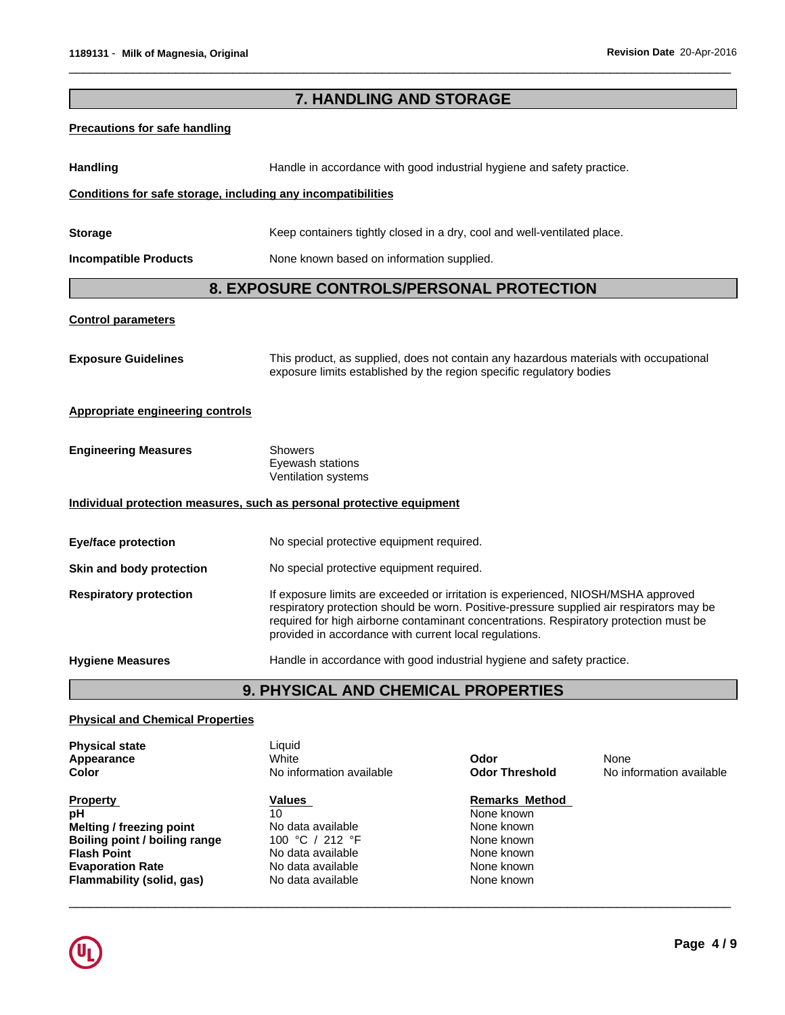| 7. HANDLING AND STORAGE                                                                   |                                                                                                                                                                                                                                                                                                                                  |  |  |  |  |  |  |  |
|-------------------------------------------------------------------------------------------|----------------------------------------------------------------------------------------------------------------------------------------------------------------------------------------------------------------------------------------------------------------------------------------------------------------------------------|--|--|--|--|--|--|--|
| <b>Precautions for safe handling</b>                                                      |                                                                                                                                                                                                                                                                                                                                  |  |  |  |  |  |  |  |
| <b>Handling</b><br>Handle in accordance with good industrial hygiene and safety practice. |                                                                                                                                                                                                                                                                                                                                  |  |  |  |  |  |  |  |
| Conditions for safe storage, including any incompatibilities                              |                                                                                                                                                                                                                                                                                                                                  |  |  |  |  |  |  |  |
| <b>Storage</b>                                                                            | Keep containers tightly closed in a dry, cool and well-ventilated place.                                                                                                                                                                                                                                                         |  |  |  |  |  |  |  |
| <b>Incompatible Products</b>                                                              | None known based on information supplied.                                                                                                                                                                                                                                                                                        |  |  |  |  |  |  |  |
|                                                                                           | 8. EXPOSURE CONTROLS/PERSONAL PROTECTION                                                                                                                                                                                                                                                                                         |  |  |  |  |  |  |  |
| <b>Control parameters</b>                                                                 |                                                                                                                                                                                                                                                                                                                                  |  |  |  |  |  |  |  |
| <b>Exposure Guidelines</b>                                                                | This product, as supplied, does not contain any hazardous materials with occupational<br>exposure limits established by the region specific regulatory bodies                                                                                                                                                                    |  |  |  |  |  |  |  |
| <b>Appropriate engineering controls</b>                                                   |                                                                                                                                                                                                                                                                                                                                  |  |  |  |  |  |  |  |
| <b>Engineering Measures</b>                                                               | <b>Showers</b><br>Eyewash stations<br>Ventilation systems                                                                                                                                                                                                                                                                        |  |  |  |  |  |  |  |
|                                                                                           | Individual protection measures, such as personal protective equipment                                                                                                                                                                                                                                                            |  |  |  |  |  |  |  |
| <b>Eye/face protection</b>                                                                | No special protective equipment required.                                                                                                                                                                                                                                                                                        |  |  |  |  |  |  |  |
| Skin and body protection                                                                  | No special protective equipment required.                                                                                                                                                                                                                                                                                        |  |  |  |  |  |  |  |
| <b>Respiratory protection</b>                                                             | If exposure limits are exceeded or irritation is experienced, NIOSH/MSHA approved<br>respiratory protection should be worn. Positive-pressure supplied air respirators may be<br>required for high airborne contaminant concentrations. Respiratory protection must be<br>provided in accordance with current local regulations. |  |  |  |  |  |  |  |
| <b>Hygiene Measures</b>                                                                   | Handle in accordance with good industrial hygiene and safety practice.                                                                                                                                                                                                                                                           |  |  |  |  |  |  |  |
|                                                                                           | 9. PHYSICAL AND CHEMICAL PROPERTIES                                                                                                                                                                                                                                                                                              |  |  |  |  |  |  |  |

 $\overline{\phantom{a}}$  ,  $\overline{\phantom{a}}$  ,  $\overline{\phantom{a}}$  ,  $\overline{\phantom{a}}$  ,  $\overline{\phantom{a}}$  ,  $\overline{\phantom{a}}$  ,  $\overline{\phantom{a}}$  ,  $\overline{\phantom{a}}$  ,  $\overline{\phantom{a}}$  ,  $\overline{\phantom{a}}$  ,  $\overline{\phantom{a}}$  ,  $\overline{\phantom{a}}$  ,  $\overline{\phantom{a}}$  ,  $\overline{\phantom{a}}$  ,  $\overline{\phantom{a}}$  ,  $\overline{\phantom{a}}$ 

## **Physical and Chemical Properties**

|                                                                                                                                                                                                                                                                                                                                                | <b>Physical state</b><br>Appearance<br>Color | Liauid<br>White<br>No information available | Odor<br><b>Odor Threshold</b> | None<br>No information available |
|------------------------------------------------------------------------------------------------------------------------------------------------------------------------------------------------------------------------------------------------------------------------------------------------------------------------------------------------|----------------------------------------------|---------------------------------------------|-------------------------------|----------------------------------|
| 10<br>рH<br>None known<br>Melting / freezing point<br>No data available<br>None known<br>Boiling point / boiling range<br>100 °C / 212 °F<br>None known<br>No data available<br><b>Flash Point</b><br>None known<br>No data available<br>None known<br><b>Evaporation Rate</b><br>None known<br>No data available<br>Flammability (solid, gas) | <b>Property</b>                              | <b>Values</b>                               | <b>Remarks Method</b>         |                                  |

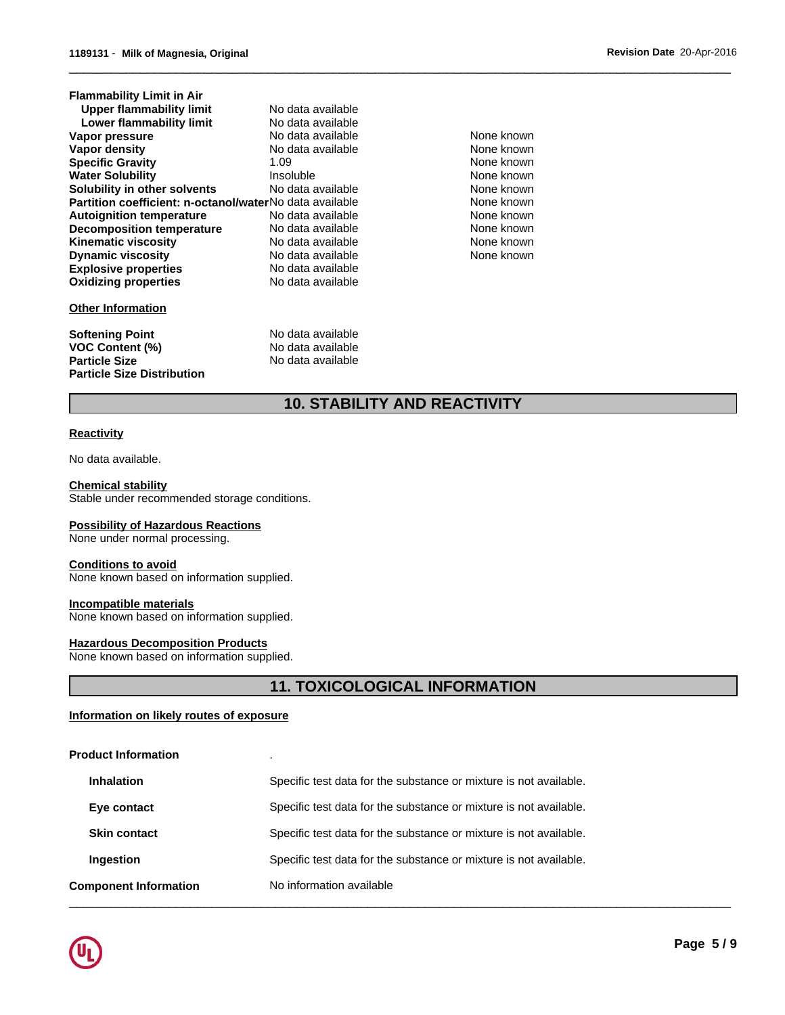| No data available                                       |                |
|---------------------------------------------------------|----------------|
| No data available                                       |                |
| No data available                                       | N٥             |
| No data available                                       | N              |
| 1.09                                                    | N              |
| Insoluble                                               | N              |
| No data available                                       | N              |
| Partition coefficient: n-octanol/waterNo data available | N              |
| No data available                                       | N              |
| No data available                                       | N0             |
| No data available                                       | N              |
| No data available                                       | N <sub>0</sub> |
| No data available                                       |                |
| No data available                                       |                |
|                                                         |                |
| No data available                                       |                |
| No data available                                       |                |
|                                                         |                |

**Particle Size** No data available

None known **None known None known** None known **None known None known** None known **None known** None known None known

 $\overline{\phantom{a}}$  ,  $\overline{\phantom{a}}$  ,  $\overline{\phantom{a}}$  ,  $\overline{\phantom{a}}$  ,  $\overline{\phantom{a}}$  ,  $\overline{\phantom{a}}$  ,  $\overline{\phantom{a}}$  ,  $\overline{\phantom{a}}$  ,  $\overline{\phantom{a}}$  ,  $\overline{\phantom{a}}$  ,  $\overline{\phantom{a}}$  ,  $\overline{\phantom{a}}$  ,  $\overline{\phantom{a}}$  ,  $\overline{\phantom{a}}$  ,  $\overline{\phantom{a}}$  ,  $\overline{\phantom{a}}$ 

# **10. STABILITY AND REACTIVITY**

#### **Reactivity**

No data available.

**Particle Size Distribution**

**Chemical stability** Stable under recommended storage conditions.

#### **Possibility of Hazardous Reactions**

None under normal processing.

#### **Conditions to avoid**

None known based on information supplied.

#### **Incompatible materials**

None known based on information supplied.

#### **Hazardous Decomposition Products**

None known based on information supplied.

## **11. TOXICOLOGICAL INFORMATION**

#### **Information on likely routes of exposure**

#### **Product Information** .

| <b>Component Information</b> | No information available                                          |
|------------------------------|-------------------------------------------------------------------|
| Ingestion                    | Specific test data for the substance or mixture is not available. |
| <b>Skin contact</b>          | Specific test data for the substance or mixture is not available. |
| Eye contact                  | Specific test data for the substance or mixture is not available. |
| <b>Inhalation</b>            | Specific test data for the substance or mixture is not available. |

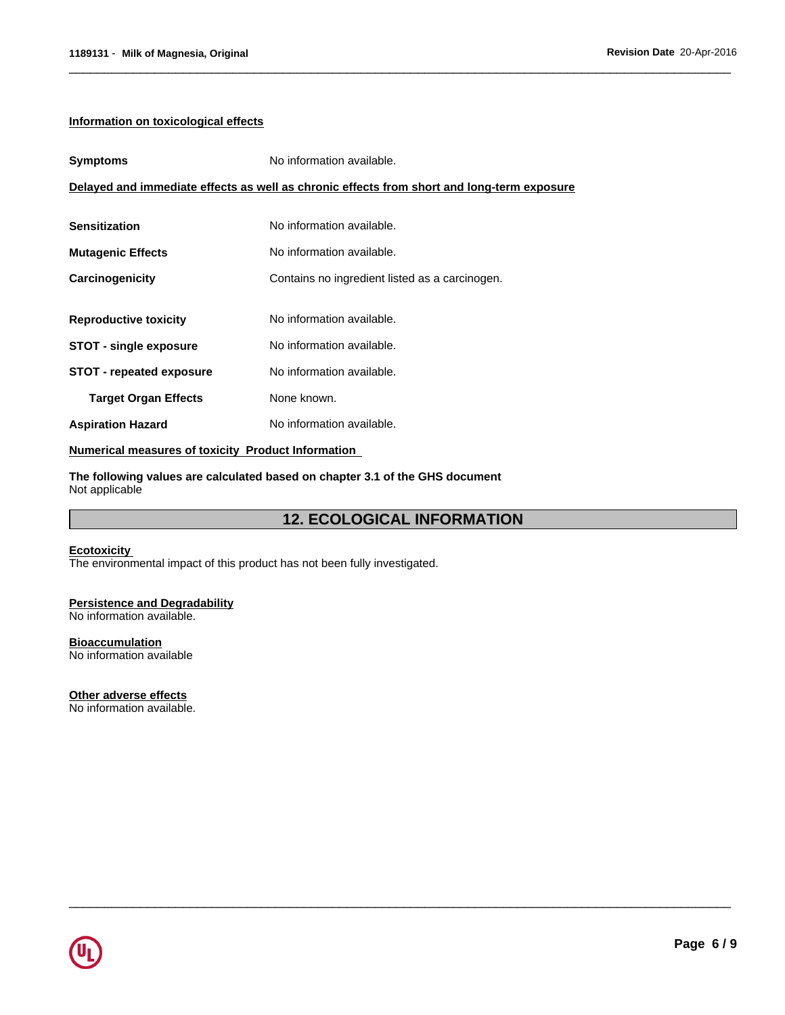#### **Information on toxicological effects**

| <b>Symptoms</b>                 | No information available.                                                                  |  |
|---------------------------------|--------------------------------------------------------------------------------------------|--|
|                                 | Delayed and immediate effects as well as chronic effects from short and long-term exposure |  |
|                                 |                                                                                            |  |
| <b>Sensitization</b>            | No information available.                                                                  |  |
| <b>Mutagenic Effects</b>        | No information available.                                                                  |  |
| Carcinogenicity                 | Contains no ingredient listed as a carcinogen.                                             |  |
|                                 |                                                                                            |  |
| <b>Reproductive toxicity</b>    | No information available.                                                                  |  |
| <b>STOT - single exposure</b>   | No information available.                                                                  |  |
| <b>STOT - repeated exposure</b> | No information available.                                                                  |  |
| <b>Target Organ Effects</b>     | None known.                                                                                |  |
| <b>Aspiration Hazard</b>        | No information available.                                                                  |  |

#### **Numerical measures of toxicity Product Information**

**The following values are calculated based on chapter 3.1 of the GHS document** Not applicable

## **12. ECOLOGICAL INFORMATION**

 $\overline{\phantom{a}}$  ,  $\overline{\phantom{a}}$  ,  $\overline{\phantom{a}}$  ,  $\overline{\phantom{a}}$  ,  $\overline{\phantom{a}}$  ,  $\overline{\phantom{a}}$  ,  $\overline{\phantom{a}}$  ,  $\overline{\phantom{a}}$  ,  $\overline{\phantom{a}}$  ,  $\overline{\phantom{a}}$  ,  $\overline{\phantom{a}}$  ,  $\overline{\phantom{a}}$  ,  $\overline{\phantom{a}}$  ,  $\overline{\phantom{a}}$  ,  $\overline{\phantom{a}}$  ,  $\overline{\phantom{a}}$ 

 $\overline{\phantom{a}}$  ,  $\overline{\phantom{a}}$  ,  $\overline{\phantom{a}}$  ,  $\overline{\phantom{a}}$  ,  $\overline{\phantom{a}}$  ,  $\overline{\phantom{a}}$  ,  $\overline{\phantom{a}}$  ,  $\overline{\phantom{a}}$  ,  $\overline{\phantom{a}}$  ,  $\overline{\phantom{a}}$  ,  $\overline{\phantom{a}}$  ,  $\overline{\phantom{a}}$  ,  $\overline{\phantom{a}}$  ,  $\overline{\phantom{a}}$  ,  $\overline{\phantom{a}}$  ,  $\overline{\phantom{a}}$ 

#### **Ecotoxicity**

The environmental impact of this product has not been fully investigated.

## **Persistence and Degradability**

No information available.

## **Bioaccumulation**

No information available

## **Other adverse effects**

No information available.

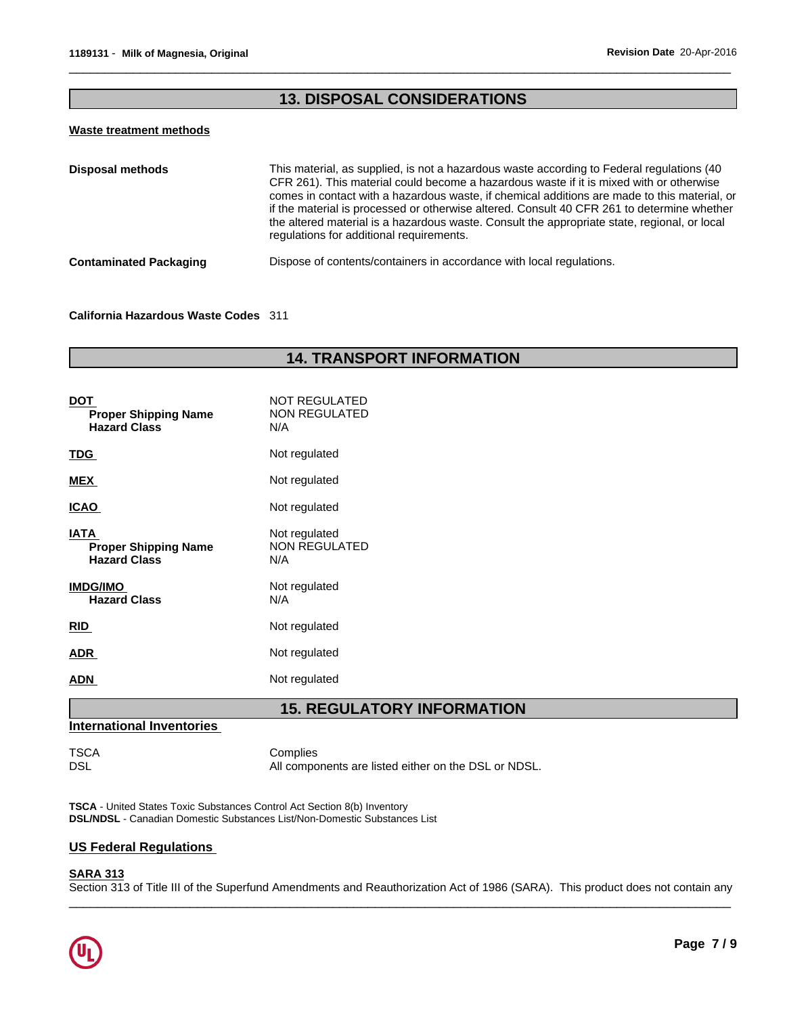## **13. DISPOSAL CONSIDERATIONS**

 $\overline{\phantom{a}}$  ,  $\overline{\phantom{a}}$  ,  $\overline{\phantom{a}}$  ,  $\overline{\phantom{a}}$  ,  $\overline{\phantom{a}}$  ,  $\overline{\phantom{a}}$  ,  $\overline{\phantom{a}}$  ,  $\overline{\phantom{a}}$  ,  $\overline{\phantom{a}}$  ,  $\overline{\phantom{a}}$  ,  $\overline{\phantom{a}}$  ,  $\overline{\phantom{a}}$  ,  $\overline{\phantom{a}}$  ,  $\overline{\phantom{a}}$  ,  $\overline{\phantom{a}}$  ,  $\overline{\phantom{a}}$ 

#### **Waste treatment methods**

| <b>Disposal methods</b>       | This material, as supplied, is not a hazardous waste according to Federal regulations (40<br>CFR 261). This material could become a hazardous waste if it is mixed with or otherwise<br>comes in contact with a hazardous waste, if chemical additions are made to this material, or<br>if the material is processed or otherwise altered. Consult 40 CFR 261 to determine whether<br>the altered material is a hazardous waste. Consult the appropriate state, regional, or local<br>regulations for additional requirements. |
|-------------------------------|--------------------------------------------------------------------------------------------------------------------------------------------------------------------------------------------------------------------------------------------------------------------------------------------------------------------------------------------------------------------------------------------------------------------------------------------------------------------------------------------------------------------------------|
| <b>Contaminated Packaging</b> | Dispose of contents/containers in accordance with local regulations.                                                                                                                                                                                                                                                                                                                                                                                                                                                           |

#### **California Hazardous Waste Codes** 311

## **14. TRANSPORT INFORMATION**

| <b>DOT</b><br><b>Proper Shipping Name</b><br><b>Hazard Class</b>  | <b>NOT REGULATED</b><br><b>NON REGULATED</b><br>N/A |
|-------------------------------------------------------------------|-----------------------------------------------------|
| <u>TDG</u>                                                        | Not regulated                                       |
| <b>MEX</b>                                                        | Not regulated                                       |
| <u>ICAO</u>                                                       | Not regulated                                       |
| <b>IATA</b><br><b>Proper Shipping Name</b><br><b>Hazard Class</b> | Not regulated<br><b>NON REGULATED</b><br>N/A        |
| <b>IMDG/IMO</b><br><b>Hazard Class</b>                            | Not regulated<br>N/A                                |
| <b>RID</b>                                                        | Not regulated                                       |
| <b>ADR</b>                                                        | Not regulated                                       |
| <b>ADN</b>                                                        | Not regulated                                       |

## **15. REGULATORY INFORMATION**

## **International Inventories**

TSCA Complies<br>DSL Mill Compo

All components are listed either on the DSL or NDSL.

**TSCA** - United States Toxic Substances Control Act Section 8(b) Inventory **DSL/NDSL** - Canadian Domestic Substances List/Non-Domestic Substances List

### **US Federal Regulations**

### **SARA 313**

Section 313 of Title III of the Superfund Amendments and Reauthorization Act of 1986 (SARA). This product does not contain any

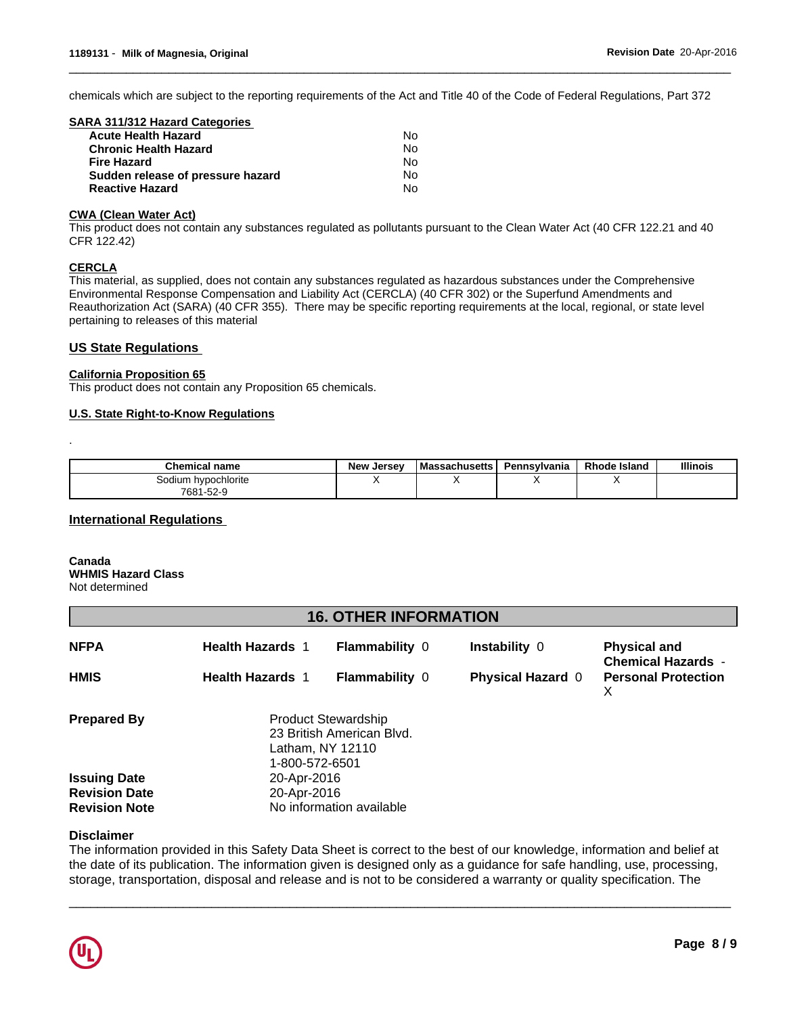chemicals which are subject to the reporting requirements of the Act and Title 40 of the Code of Federal Regulations, Part 372

 $\overline{\phantom{a}}$  ,  $\overline{\phantom{a}}$  ,  $\overline{\phantom{a}}$  ,  $\overline{\phantom{a}}$  ,  $\overline{\phantom{a}}$  ,  $\overline{\phantom{a}}$  ,  $\overline{\phantom{a}}$  ,  $\overline{\phantom{a}}$  ,  $\overline{\phantom{a}}$  ,  $\overline{\phantom{a}}$  ,  $\overline{\phantom{a}}$  ,  $\overline{\phantom{a}}$  ,  $\overline{\phantom{a}}$  ,  $\overline{\phantom{a}}$  ,  $\overline{\phantom{a}}$  ,  $\overline{\phantom{a}}$ 

| SARA 311/312 Hazard Categories    |    |  |
|-----------------------------------|----|--|
| <b>Acute Health Hazard</b>        | N٥ |  |
| <b>Chronic Health Hazard</b>      | No |  |
| <b>Fire Hazard</b>                | No |  |
| Sudden release of pressure hazard | No |  |
| <b>Reactive Hazard</b>            | N٥ |  |
|                                   |    |  |

#### **CWA (Clean Water Act)**

This product does not contain any substances regulated as pollutants pursuant to the Clean Water Act (40 CFR 122.21 and 40 CFR 122.42)

#### **CERCLA**

.

This material, as supplied, does not contain any substances regulated as hazardous substances under the Comprehensive Environmental Response Compensation and Liability Act (CERCLA) (40 CFR 302) or the Superfund Amendments and Reauthorization Act (SARA) (40 CFR 355). There may be specific reporting requirements at the local, regional, or state level pertaining to releases of this material

#### **US State Regulations**

#### **California Proposition 65**

This product does not contain any Proposition 65 chemicals.

#### **U.S. State Right-to-Know Regulations**

| Chemical<br>:al name | <b>New</b><br>, Jersev | <b>I Massachusetts</b> | Pennsylvania | <b>Rhode Island</b> | <b>Illinois</b> |
|----------------------|------------------------|------------------------|--------------|---------------------|-----------------|
| Sodium hvpochlorite  |                        |                        |              |                     |                 |
| 7681-52-9            |                        |                        |              |                     |                 |

#### **International Regulations**

#### **Canada WHMIS Hazard Class** Not determined

## **16. OTHER INFORMATION**

| <b>NFPA</b>          | <b>Health Hazards 1</b> | <b>Flammability 0</b>                                                                         | <b>Instability 0</b>     | <b>Physical and</b><br><b>Chemical Hazards -</b> |
|----------------------|-------------------------|-----------------------------------------------------------------------------------------------|--------------------------|--------------------------------------------------|
| <b>HMIS</b>          | <b>Health Hazards 1</b> | <b>Flammability 0</b>                                                                         | <b>Physical Hazard 0</b> | <b>Personal Protection</b><br>х                  |
| <b>Prepared By</b>   |                         | <b>Product Stewardship</b><br>23 British American Blvd.<br>Latham, NY 12110<br>1-800-572-6501 |                          |                                                  |
| <b>Issuing Date</b>  | 20-Apr-2016             |                                                                                               |                          |                                                  |
| <b>Revision Date</b> | 20-Apr-2016             |                                                                                               |                          |                                                  |
| <b>Revision Note</b> |                         | No information available                                                                      |                          |                                                  |

#### **Disclaimer**

The information provided in this Safety Data Sheet is correct to the best of our knowledge, information and belief at the date of its publication. The information given is designed only as a guidance for safe handling, use, processing, storage, transportation, disposal and release and is not to be considered a warranty or quality specification. The